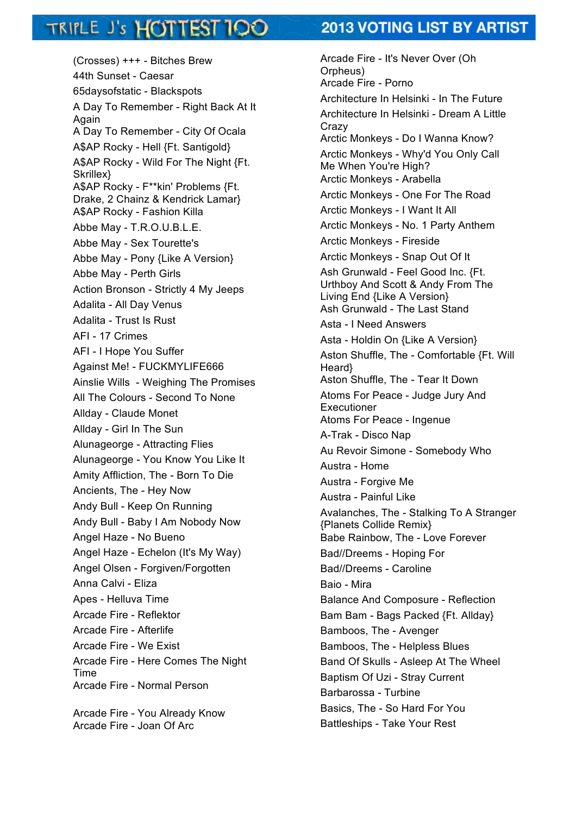## TRIPLE J's HOTTEST 100

## **2013 VOTING LIST BY ARTIST**

(Crosses) +++ - Bitches Brew 44th Sunset - Caesar 65daysofstatic - Blackspots A Day To Remember - Right Back At It Again A Day To Remember - City Of Ocala A\$AP Rocky - Hell {Ft. Santigold} A\$AP Rocky - Wild For The Night {Ft. Skrillex} A\$AP Rocky - F\*\*kin' Problems {Ft. Drake, 2 Chainz & Kendrick Lamar} A\$AP Rocky - Fashion Killa Abbe May - T.R.O.U.B.L.E. Abbe May - Sex Tourette's Abbe May - Pony {Like A Version} Abbe May - Perth Girls Action Bronson - Strictly 4 My Jeeps Adalita - All Day Venus Adalita - Trust Is Rust AFI - 17 Crimes AFI - I Hope You Suffer Against Me! - FUCKMYLIFE666 Ainslie Wills - Weighing The Promises All The Colours - Second To None Allday - Claude Monet Allday - Girl In The Sun Alunageorge - Attracting Flies Alunageorge - You Know You Like It Amity Affliction, The - Born To Die Ancients, The - Hey Now Andy Bull - Keep On Running Andy Bull - Baby I Am Nobody Now Angel Haze - No Bueno Angel Haze - Echelon (It's My Way) Angel Olsen - Forgiven/Forgotten Anna Calvi - Eliza Apes - Helluva Time Arcade Fire - Reflektor Arcade Fire - Afterlife Arcade Fire - We Exist Arcade Fire - Here Comes The Night Time Arcade Fire - Normal Person Arcade Fire - You Already Know Arcade Fire - Joan Of Arc

Arcade Fire - It's Never Over (Oh Orpheus) Arcade Fire - Porno Architecture In Helsinki - In The Future Architecture In Helsinki - Dream A Little **Crazy** Arctic Monkeys - Do I Wanna Know? Arctic Monkeys - Why'd You Only Call Me When You're High? Arctic Monkeys - Arabella Arctic Monkeys - One For The Road Arctic Monkeys - I Want It All Arctic Monkeys - No. 1 Party Anthem Arctic Monkeys - Fireside Arctic Monkeys - Snap Out Of It Ash Grunwald - Feel Good Inc. {Ft. Urthboy And Scott & Andy From The Living End {Like A Version} Ash Grunwald - The Last Stand Asta - I Need Answers Asta - Holdin On {Like A Version} Aston Shuffle, The - Comfortable {Ft. Will Heard} Aston Shuffle, The - Tear It Down Atoms For Peace - Judge Jury And Executioner Atoms For Peace - Ingenue A-Trak - Disco Nap Au Revoir Simone - Somebody Who Austra - Home Austra - Forgive Me Austra - Painful Like Avalanches, The - Stalking To A Stranger {Planets Collide Remix} Babe Rainbow, The - Love Forever Bad//Dreems - Hoping For Bad//Dreems - Caroline Baio - Mira Balance And Composure - Reflection Bam Bam - Bags Packed {Ft. Allday} Bamboos, The - Avenger Bamboos, The - Helpless Blues Band Of Skulls - Asleep At The Wheel Baptism Of Uzi - Stray Current Barbarossa - Turbine Basics, The - So Hard For You Battleships - Take Your Rest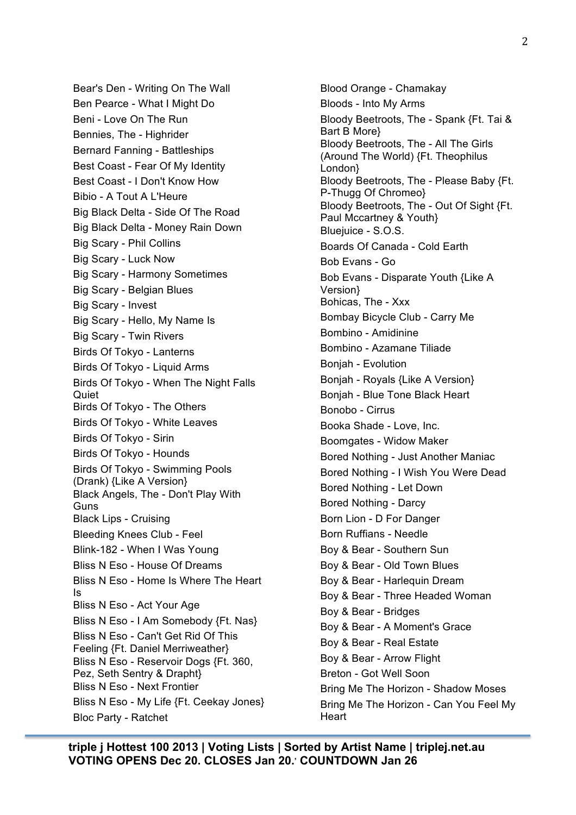Bear's Den - Writing On The Wall Ben Pearce - What I Might Do Beni - Love On The Run Bennies, The - Highrider Bernard Fanning - Battleships Best Coast - Fear Of My Identity Best Coast - I Don't Know How Bibio - A Tout A L'Heure Big Black Delta - Side Of The Road Big Black Delta - Money Rain Down Big Scary - Phil Collins Big Scary - Luck Now Big Scary - Harmony Sometimes Big Scary - Belgian Blues Big Scary - Invest Big Scary - Hello, My Name Is Big Scary - Twin Rivers Birds Of Tokyo - Lanterns Birds Of Tokyo - Liquid Arms Birds Of Tokyo - When The Night Falls **Quiet** Birds Of Tokyo - The Others Birds Of Tokyo - White Leaves Birds Of Tokyo - Sirin Birds Of Tokyo - Hounds Birds Of Tokyo - Swimming Pools (Drank) {Like A Version} Black Angels, The - Don't Play With Guns Black Lips - Cruising Bleeding Knees Club - Feel Blink-182 - When I Was Young Bliss N Eso - House Of Dreams Bliss N Eso - Home Is Where The Heart Is Bliss N Eso - Act Your Age Bliss N Eso - I Am Somebody {Ft. Nas} Bliss N Eso - Can't Get Rid Of This Feeling {Ft. Daniel Merriweather} Bliss N Eso - Reservoir Dogs {Ft. 360, Pez, Seth Sentry & Drapht} Bliss N Eso - Next Frontier Bliss N Eso - My Life {Ft. Ceekay Jones} Bloc Party - Ratchet

Blood Orange - Chamakay Bloods - Into My Arms Bloody Beetroots, The - Spank {Ft. Tai & Bart B More} Bloody Beetroots, The - All The Girls (Around The World) {Ft. Theophilus London} Bloody Beetroots, The - Please Baby {Ft. P-Thugg Of Chromeo} Bloody Beetroots, The - Out Of Sight {Ft. Paul Mccartney & Youth} Blueiuice - S.O.S. Boards Of Canada - Cold Earth Bob Evans - Go Bob Evans - Disparate Youth {Like A Version} Bohicas, The - Xxx Bombay Bicycle Club - Carry Me Bombino - Amidinine Bombino - Azamane Tiliade Bonjah - Evolution Bonjah - Royals {Like A Version} Bonjah - Blue Tone Black Heart Bonobo - Cirrus Booka Shade - Love, Inc. Boomgates - Widow Maker Bored Nothing - Just Another Maniac Bored Nothing - I Wish You Were Dead Bored Nothing - Let Down Bored Nothing - Darcy Born Lion - D For Danger Born Ruffians - Needle Boy & Bear - Southern Sun Boy & Bear - Old Town Blues Boy & Bear - Harlequin Dream Boy & Bear - Three Headed Woman Boy & Bear - Bridges Boy & Bear - A Moment's Grace Boy & Bear - Real Estate Boy & Bear - Arrow Flight Breton - Got Well Soon Bring Me The Horizon - Shadow Moses Bring Me The Horizon - Can You Feel My **Heart**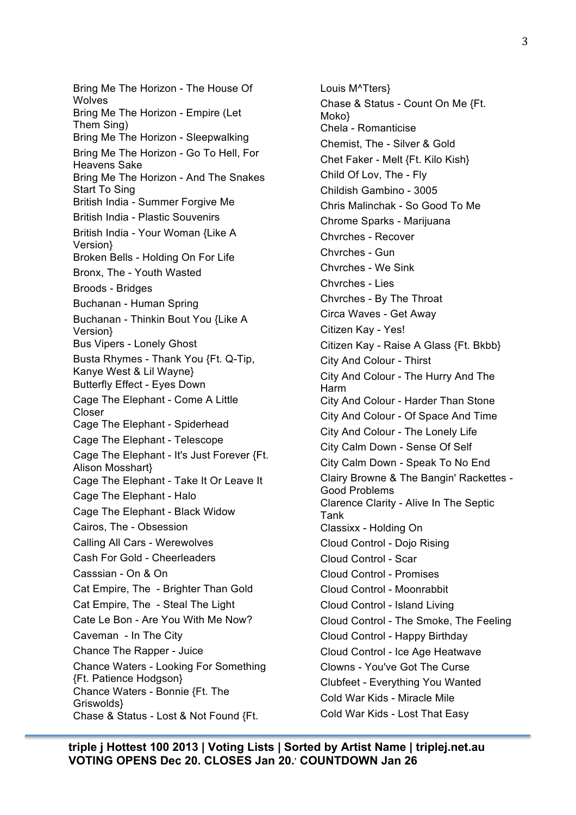Bring Me The Horizon - The House Of Wolves Bring Me The Horizon - Empire (Let Them Sing) Bring Me The Horizon - Sleepwalking Bring Me The Horizon - Go To Hell, For Heavens Sake Bring Me The Horizon - And The Snakes Start To Sing British India - Summer Forgive Me British India - Plastic Souvenirs British India - Your Woman {Like A Version} Broken Bells - Holding On For Life Bronx, The - Youth Wasted Broods - Bridges Buchanan - Human Spring Buchanan - Thinkin Bout You {Like A Version} Bus Vipers - Lonely Ghost Busta Rhymes - Thank You {Ft. Q-Tip, Kanye West & Lil Wayne} Butterfly Effect - Eyes Down Cage The Elephant - Come A Little Closer Cage The Elephant - Spiderhead Cage The Elephant - Telescope Cage The Elephant - It's Just Forever {Ft. Alison Mosshart} Cage The Elephant - Take It Or Leave It Cage The Elephant - Halo Cage The Elephant - Black Widow Cairos, The - Obsession Calling All Cars - Werewolves Cash For Gold - Cheerleaders Casssian - On & On Cat Empire, The - Brighter Than Gold Cat Empire, The - Steal The Light Cate Le Bon - Are You With Me Now? Caveman - In The City Chance The Rapper - Juice Chance Waters - Looking For Something {Ft. Patience Hodgson} Chance Waters - Bonnie {Ft. The Griswolds} Chase & Status - Lost & Not Found {Ft.

Louis M^Tters} Chase & Status - Count On Me {Ft. Moko} Chela - Romanticise Chemist, The - Silver & Gold Chet Faker - Melt {Ft. Kilo Kish} Child Of Lov, The - Fly Childish Gambino - 3005 Chris Malinchak - So Good To Me Chrome Sparks - Marijuana Chvrches - Recover Chvrches - Gun Chvrches - We Sink Chvrches - Lies Chvrches - By The Throat Circa Waves - Get Away Citizen Kay - Yes! Citizen Kay - Raise A Glass {Ft. Bkbb} City And Colour - Thirst City And Colour - The Hurry And The Harm City And Colour - Harder Than Stone City And Colour - Of Space And Time City And Colour - The Lonely Life City Calm Down - Sense Of Self City Calm Down - Speak To No End Clairy Browne & The Bangin' Rackettes - Good Problems Clarence Clarity - Alive In The Septic Tank Classixx - Holding On Cloud Control - Dojo Rising Cloud Control - Scar Cloud Control - Promises Cloud Control - Moonrabbit Cloud Control - Island Living Cloud Control - The Smoke, The Feeling Cloud Control - Happy Birthday Cloud Control - Ice Age Heatwave Clowns - You've Got The Curse Clubfeet - Everything You Wanted Cold War Kids - Miracle Mile Cold War Kids - Lost That Easy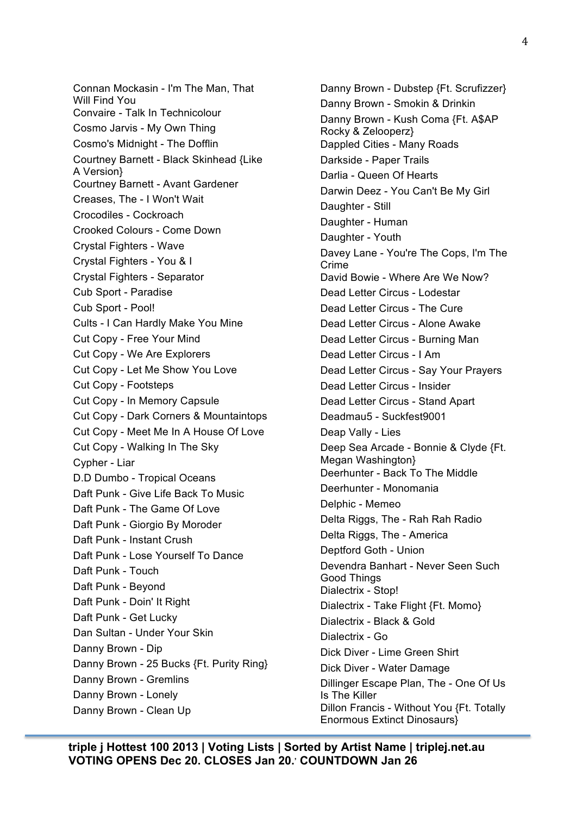Connan Mockasin - I'm The Man, That Will Find You Convaire - Talk In Technicolour Cosmo Jarvis - My Own Thing Cosmo's Midnight - The Dofflin Courtney Barnett - Black Skinhead {Like A Version} Courtney Barnett - Avant Gardener Creases, The - I Won't Wait Crocodiles - Cockroach Crooked Colours - Come Down Crystal Fighters - Wave Crystal Fighters - You & I Crystal Fighters - Separator Cub Sport - Paradise Cub Sport - Pool! Cults - I Can Hardly Make You Mine Cut Copy - Free Your Mind Cut Copy - We Are Explorers Cut Copy - Let Me Show You Love Cut Copy - Footsteps Cut Copy - In Memory Capsule Cut Copy - Dark Corners & Mountaintops Cut Copy - Meet Me In A House Of Love Cut Copy - Walking In The Sky Cypher - Liar D.D Dumbo - Tropical Oceans Daft Punk - Give Life Back To Music Daft Punk - The Game Of Love Daft Punk - Giorgio By Moroder Daft Punk - Instant Crush Daft Punk - Lose Yourself To Dance Daft Punk - Touch Daft Punk - Beyond Daft Punk - Doin' It Right Daft Punk - Get Lucky Dan Sultan - Under Your Skin Danny Brown - Dip Danny Brown - 25 Bucks {Ft. Purity Ring} Danny Brown - Gremlins Danny Brown - Lonely Danny Brown - Clean Up

Danny Brown - Dubstep {Ft. Scrufizzer} Danny Brown - Smokin & Drinkin Danny Brown - Kush Coma {Ft. A\$AP Rocky & Zelooperz} Dappled Cities - Many Roads Darkside - Paper Trails Darlia - Queen Of Hearts Darwin Deez - You Can't Be My Girl Daughter - Still Daughter - Human Daughter - Youth Davey Lane - You're The Cops, I'm The Crime David Bowie - Where Are We Now? Dead Letter Circus - Lodestar Dead Letter Circus - The Cure Dead Letter Circus - Alone Awake Dead Letter Circus - Burning Man Dead Letter Circus - I Am Dead Letter Circus - Say Your Prayers Dead Letter Circus - Insider Dead Letter Circus - Stand Apart Deadmau5 - Suckfest9001 Deap Vally - Lies Deep Sea Arcade - Bonnie & Clyde {Ft. Megan Washington} Deerhunter - Back To The Middle Deerhunter - Monomania Delphic - Memeo Delta Riggs, The - Rah Rah Radio Delta Riggs, The - America Deptford Goth - Union Devendra Banhart - Never Seen Such Good Things Dialectrix - Stop! Dialectrix - Take Flight {Ft. Momo} Dialectrix - Black & Gold Dialectrix - Go Dick Diver - Lime Green Shirt Dick Diver - Water Damage Dillinger Escape Plan, The - One Of Us Is The Killer Dillon Francis - Without You {Ft. Totally Enormous Extinct Dinosaurs}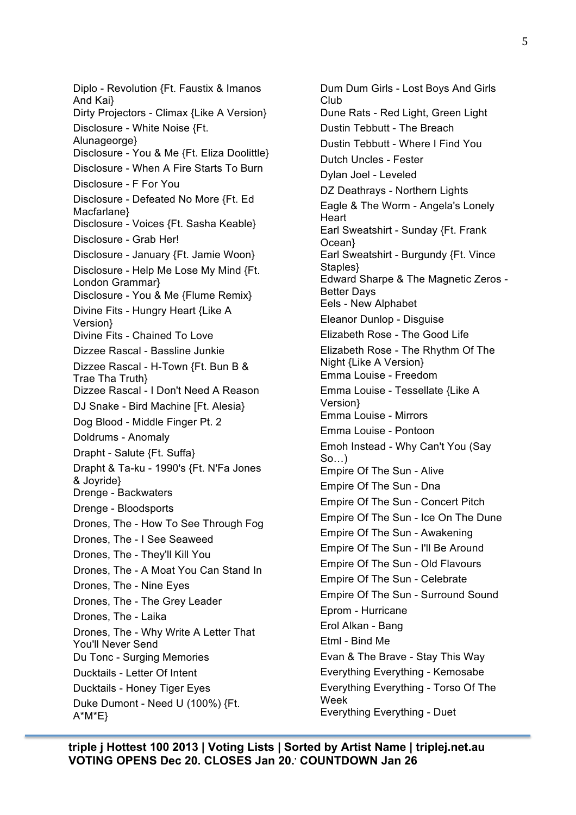Diplo - Revolution {Ft. Faustix & Imanos And Kai} Dirty Projectors - Climax {Like A Version} Disclosure - White Noise {Ft. Alunageorge} Disclosure - You & Me {Ft. Eliza Doolittle} Disclosure - When A Fire Starts To Burn Disclosure - F For You Disclosure - Defeated No More {Ft. Ed Macfarlane} Disclosure - Voices {Ft. Sasha Keable} Disclosure - Grab Her! Disclosure - January {Ft. Jamie Woon} Disclosure - Help Me Lose My Mind {Ft. London Grammar} Disclosure - You & Me {Flume Remix} Divine Fits - Hungry Heart {Like A Version} Divine Fits - Chained To Love Dizzee Rascal - Bassline Junkie Dizzee Rascal - H-Town {Ft. Bun B & Trae Tha Truth} Dizzee Rascal - I Don't Need A Reason DJ Snake - Bird Machine [Ft. Alesia} Dog Blood - Middle Finger Pt. 2 Doldrums - Anomaly Drapht - Salute {Ft. Suffa} Drapht & Ta-ku - 1990's {Ft. N'Fa Jones & Joyride} Drenge - Backwaters Drenge - Bloodsports Drones, The - How To See Through Fog Drones, The - I See Seaweed Drones, The - They'll Kill You Drones, The - A Moat You Can Stand In Drones, The - Nine Eyes Drones, The - The Grey Leader Drones, The - Laika Drones, The - Why Write A Letter That You'll Never Send Du Tonc - Surging Memories Ducktails - Letter Of Intent Ducktails - Honey Tiger Eyes Duke Dumont - Need U (100%) {Ft. A\*M\*E}

Dum Dum Girls - Lost Boys And Girls Club Dune Rats - Red Light, Green Light Dustin Tebbutt - The Breach Dustin Tebbutt - Where I Find You Dutch Uncles - Fester Dylan Joel - Leveled DZ Deathrays - Northern Lights Eagle & The Worm - Angela's Lonely **Heart** Earl Sweatshirt - Sunday {Ft. Frank Ocean} Earl Sweatshirt - Burgundy {Ft. Vince Staples} Edward Sharpe & The Magnetic Zeros - Better Days Eels - New Alphabet Eleanor Dunlop - Disguise Elizabeth Rose - The Good Life Elizabeth Rose - The Rhythm Of The Night {Like A Version} Emma Louise - Freedom Emma Louise - Tessellate {Like A Version} Emma Louise - Mirrors Emma Louise - Pontoon Emoh Instead - Why Can't You (Say So…) Empire Of The Sun - Alive Empire Of The Sun - Dna Empire Of The Sun - Concert Pitch Empire Of The Sun - Ice On The Dune Empire Of The Sun - Awakening Empire Of The Sun - I'll Be Around Empire Of The Sun - Old Flavours Empire Of The Sun - Celebrate Empire Of The Sun - Surround Sound Eprom - Hurricane Erol Alkan - Bang Etml - Bind Me Evan & The Brave - Stay This Way Everything Everything - Kemosabe Everything Everything - Torso Of The Week Everything Everything - Duet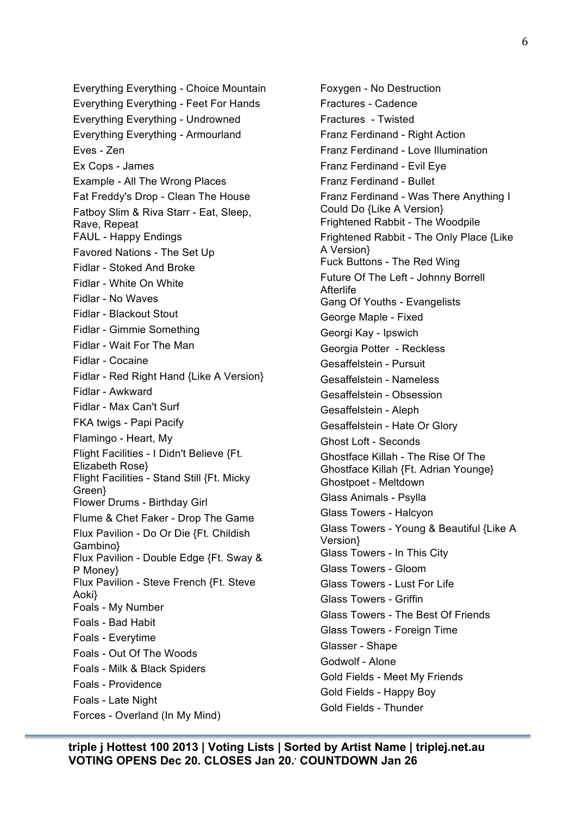Everything Everything - Choice Mountain Everything Everything - Feet For Hands Everything Everything - Undrowned Everything Everything - Armourland Eves - Zen Ex Cops - James Example - All The Wrong Places Fat Freddy's Drop - Clean The House Fatboy Slim & Riva Starr - Eat, Sleep, Rave, Repeat FAUL - Happy Endings Favored Nations - The Set Up Fidlar - Stoked And Broke Fidlar - White On White Fidlar - No Waves Fidlar - Blackout Stout Fidlar - Gimmie Something Fidlar - Wait For The Man Fidlar - Cocaine Fidlar - Red Right Hand {Like A Version} Fidlar - Awkward Fidlar - Max Can't Surf FKA twigs - Papi Pacify Flamingo - Heart, My Flight Facilities - I Didn't Believe {Ft. Elizabeth Rose} Flight Facilities - Stand Still {Ft. Micky Green} Flower Drums - Birthday Girl Flume & Chet Faker - Drop The Game Flux Pavilion - Do Or Die {Ft. Childish Gambino} Flux Pavilion - Double Edge {Ft. Sway & P Money} Flux Pavilion - Steve French {Ft. Steve Aoki} Foals - My Number Foals - Bad Habit Foals - Everytime Foals - Out Of The Woods Foals - Milk & Black Spiders Foals - Providence Foals - Late Night Forces - Overland (In My Mind)

Foxygen - No Destruction Fractures - Cadence Fractures - Twisted Franz Ferdinand - Right Action Franz Ferdinand - Love Illumination Franz Ferdinand - Evil Eye Franz Ferdinand - Bullet Franz Ferdinand - Was There Anything I Could Do {Like A Version} Frightened Rabbit - The Woodpile Frightened Rabbit - The Only Place {Like A Version} Fuck Buttons - The Red Wing Future Of The Left - Johnny Borrell Afterlife Gang Of Youths - Evangelists George Maple - Fixed Georgi Kay - Ipswich Georgia Potter - Reckless Gesaffelstein - Pursuit Gesaffelstein - Nameless Gesaffelstein - Obsession Gesaffelstein - Aleph Gesaffelstein - Hate Or Glory Ghost Loft - Seconds Ghostface Killah - The Rise Of The Ghostface Killah {Ft. Adrian Younge} Ghostpoet - Meltdown Glass Animals - Psylla Glass Towers - Halcyon Glass Towers - Young & Beautiful {Like A Version} Glass Towers - In This City Glass Towers - Gloom Glass Towers - Lust For Life Glass Towers - Griffin Glass Towers - The Best Of Friends Glass Towers - Foreign Time Glasser - Shape Godwolf - Alone Gold Fields - Meet My Friends Gold Fields - Happy Boy Gold Fields - Thunder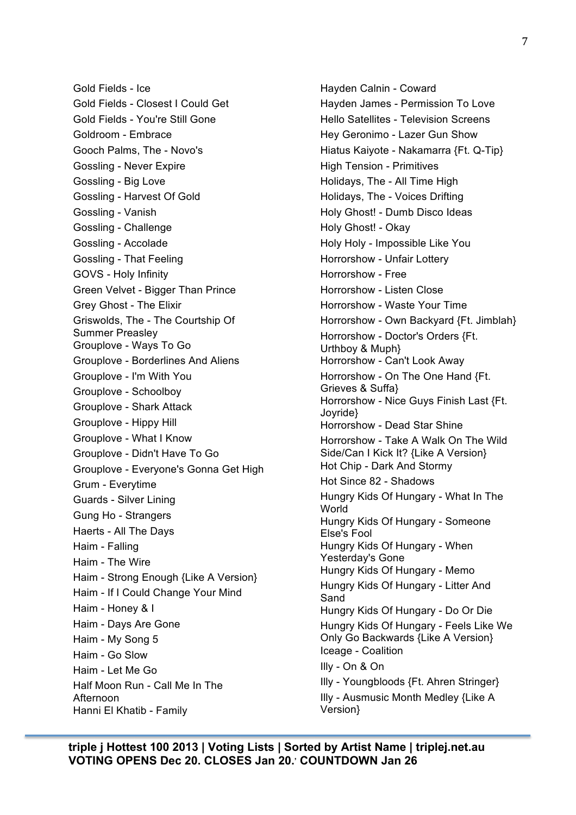Gold Fields - Ice Gold Fields - Closest I Could Get Gold Fields - You're Still Gone Goldroom - Embrace Gooch Palms, The - Novo's Gossling - Never Expire Gossling - Big Love Gossling - Harvest Of Gold Gossling - Vanish Gossling - Challenge Gossling - Accolade Gossling - That Feeling GOVS - Holy Infinity Green Velvet - Bigger Than Prince Grey Ghost - The Elixir Griswolds, The - The Courtship Of Summer Preasley Grouplove - Ways To Go Grouplove - Borderlines And Aliens Grouplove - I'm With You Grouplove - Schoolboy Grouplove - Shark Attack Grouplove - Hippy Hill Grouplove - What I Know Grouplove - Didn't Have To Go Grouplove - Everyone's Gonna Get High Grum - Everytime Guards - Silver Lining Gung Ho - Strangers Haerts - All The Days Haim - Falling Haim - The Wire Haim - Strong Enough {Like A Version} Haim - If I Could Change Your Mind Haim - Honey & I Haim - Days Are Gone Haim - My Song 5 Haim - Go Slow Haim - Let Me Go Half Moon Run - Call Me In The Afternoon Hanni El Khatib - Family

Hayden Calnin - Coward Hayden James - Permission To Love Hello Satellites - Television Screens Hey Geronimo - Lazer Gun Show Hiatus Kaiyote - Nakamarra {Ft. Q-Tip} High Tension - Primitives Holidays, The - All Time High Holidays, The - Voices Drifting Holy Ghost! - Dumb Disco Ideas Holy Ghost! - Okay Holy Holy - Impossible Like You Horrorshow - Unfair Lottery Horrorshow - Free Horrorshow - Listen Close Horrorshow - Waste Your Time Horrorshow - Own Backyard {Ft. Jimblah} Horrorshow - Doctor's Orders {Ft. Urthboy & Muph} Horrorshow - Can't Look Away Horrorshow - On The One Hand {Ft. Grieves & Suffa} Horrorshow - Nice Guys Finish Last {Ft. Joyride} Horrorshow - Dead Star Shine Horrorshow - Take A Walk On The Wild Side/Can I Kick It? {Like A Version} Hot Chip - Dark And Stormy Hot Since 82 - Shadows Hungry Kids Of Hungary - What In The World Hungry Kids Of Hungary - Someone Else's Fool Hungry Kids Of Hungary - When Yesterday's Gone Hungry Kids Of Hungary - Memo Hungry Kids Of Hungary - Litter And Sand Hungry Kids Of Hungary - Do Or Die Hungry Kids Of Hungary - Feels Like We Only Go Backwards {Like A Version} Iceage - Coalition Illy - On & On Illy - Youngbloods {Ft. Ahren Stringer} Illy - Ausmusic Month Medley {Like A Version}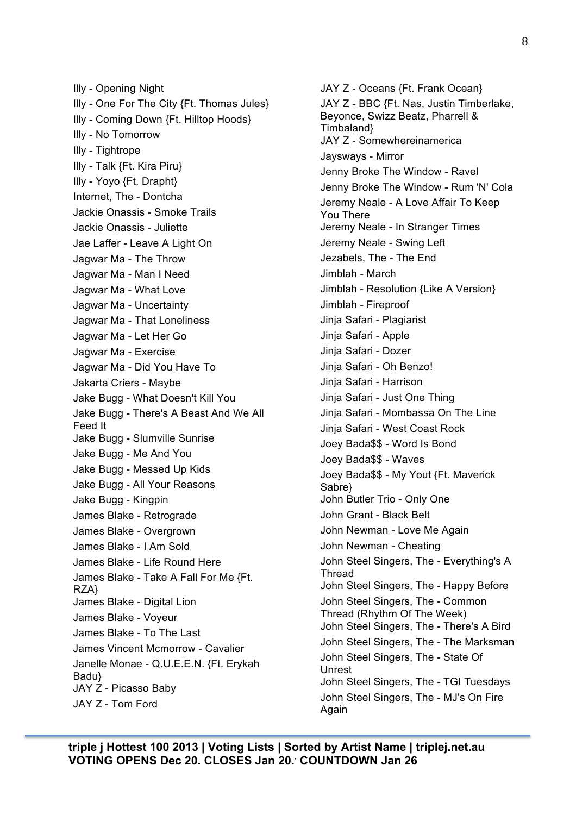Illy - Opening Night Illy - One For The City {Ft. Thomas Jules} Illy - Coming Down {Ft. Hilltop Hoods} Illy - No Tomorrow Illy - Tightrope Illy - Talk {Ft. Kira Piru} Illy - Yoyo {Ft. Drapht} Internet, The - Dontcha Jackie Onassis - Smoke Trails Jackie Onassis - Juliette Jae Laffer - Leave A Light On Jagwar Ma - The Throw Jagwar Ma - Man I Need Jagwar Ma - What Love Jagwar Ma - Uncertainty Jagwar Ma - That Loneliness Jagwar Ma - Let Her Go Jagwar Ma - Exercise Jagwar Ma - Did You Have To Jakarta Criers - Maybe Jake Bugg - What Doesn't Kill You Jake Bugg - There's A Beast And We All Feed It Jake Bugg - Slumville Sunrise Jake Bugg - Me And You Jake Bugg - Messed Up Kids Jake Bugg - All Your Reasons Jake Bugg - Kingpin James Blake - Retrograde James Blake - Overgrown James Blake - I Am Sold James Blake - Life Round Here James Blake - Take A Fall For Me {Ft. RZA} James Blake - Digital Lion James Blake - Voyeur James Blake - To The Last James Vincent Mcmorrow - Cavalier Janelle Monae - Q.U.E.E.N. {Ft. Erykah Badu} JAY Z - Picasso Baby JAY Z - Tom Ford

JAY Z - Oceans {Ft. Frank Ocean} JAY Z - BBC {Ft. Nas, Justin Timberlake, Beyonce, Swizz Beatz, Pharrell & Timbaland} JAY Z - Somewhereinamerica Jaysways - Mirror Jenny Broke The Window - Ravel Jenny Broke The Window - Rum 'N' Cola Jeremy Neale - A Love Affair To Keep You There Jeremy Neale - In Stranger Times Jeremy Neale - Swing Left Jezabels, The - The End Jimblah - March Jimblah - Resolution {Like A Version} Jimblah - Fireproof Jinja Safari - Plagiarist Jinja Safari - Apple Jinja Safari - Dozer Jinja Safari - Oh Benzo! Jinja Safari - Harrison Jinja Safari - Just One Thing Jinja Safari - Mombassa On The Line Jinja Safari - West Coast Rock Joey Bada\$\$ - Word Is Bond Joey Bada\$\$ - Waves Joey Bada\$\$ - My Yout {Ft. Maverick Sabre} John Butler Trio - Only One John Grant - Black Belt John Newman - Love Me Again John Newman - Cheating John Steel Singers, The - Everything's A Thread John Steel Singers, The - Happy Before John Steel Singers, The - Common Thread (Rhythm Of The Week) John Steel Singers, The - There's A Bird John Steel Singers, The - The Marksman John Steel Singers, The - State Of Unrest John Steel Singers, The - TGI Tuesdays John Steel Singers, The - MJ's On Fire Again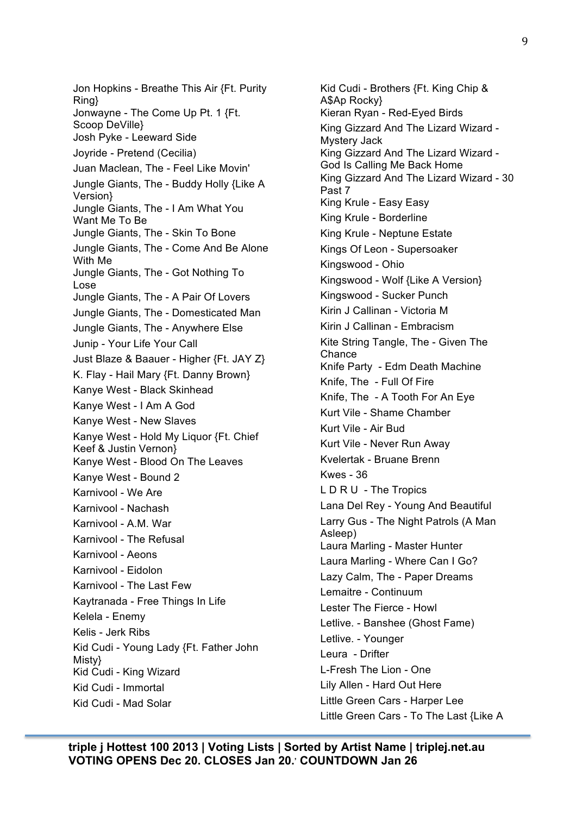Jon Hopkins - Breathe This Air {Ft. Purity Ring} Jonwayne - The Come Up Pt. 1 {Ft. Scoop DeVille} Josh Pyke - Leeward Side Joyride - Pretend (Cecilia) Juan Maclean, The - Feel Like Movin' Jungle Giants, The - Buddy Holly {Like A Version} Jungle Giants, The - I Am What You Want Me To Be Jungle Giants, The - Skin To Bone Jungle Giants, The - Come And Be Alone With Me Jungle Giants, The - Got Nothing To Lose Jungle Giants, The - A Pair Of Lovers Jungle Giants, The - Domesticated Man Jungle Giants, The - Anywhere Else Junip - Your Life Your Call Just Blaze & Baauer - Higher {Ft. JAY Z} K. Flay - Hail Mary {Ft. Danny Brown} Kanye West - Black Skinhead Kanye West - I Am A God Kanye West - New Slaves Kanye West - Hold My Liquor {Ft. Chief Keef & Justin Vernon} Kanye West - Blood On The Leaves Kanye West - Bound 2 Karnivool - We Are Karnivool - Nachash Karnivool - A.M. War Karnivool - The Refusal Karnivool - Aeons Karnivool - Eidolon Karnivool - The Last Few Kaytranada - Free Things In Life Kelela - Enemy Kelis - Jerk Ribs Kid Cudi - Young Lady {Ft. Father John Misty} Kid Cudi - King Wizard Kid Cudi - Immortal Kid Cudi - Mad Solar

Kid Cudi - Brothers {Ft. King Chip & A\$Ap Rocky} Kieran Ryan - Red-Eyed Birds King Gizzard And The Lizard Wizard - Mystery Jack King Gizzard And The Lizard Wizard - God Is Calling Me Back Home King Gizzard And The Lizard Wizard - 30 Past 7 King Krule - Easy Easy King Krule - Borderline King Krule - Neptune Estate Kings Of Leon - Supersoaker Kingswood - Ohio Kingswood - Wolf {Like A Version} Kingswood - Sucker Punch Kirin J Callinan - Victoria M Kirin J Callinan - Embracism Kite String Tangle, The - Given The **Chance** Knife Party - Edm Death Machine Knife, The - Full Of Fire Knife, The - A Tooth For An Eye Kurt Vile - Shame Chamber Kurt Vile - Air Bud Kurt Vile - Never Run Away Kvelertak - Bruane Brenn Kwes - 36 L D R U - The Tropics Lana Del Rey - Young And Beautiful Larry Gus - The Night Patrols (A Man Asleep) Laura Marling - Master Hunter Laura Marling - Where Can I Go? Lazy Calm, The - Paper Dreams Lemaitre - Continuum Lester The Fierce - Howl Letlive. - Banshee (Ghost Fame) Letlive. - Younger Leura - Drifter L-Fresh The Lion - One Lily Allen - Hard Out Here Little Green Cars - Harper Lee Little Green Cars - To The Last {Like A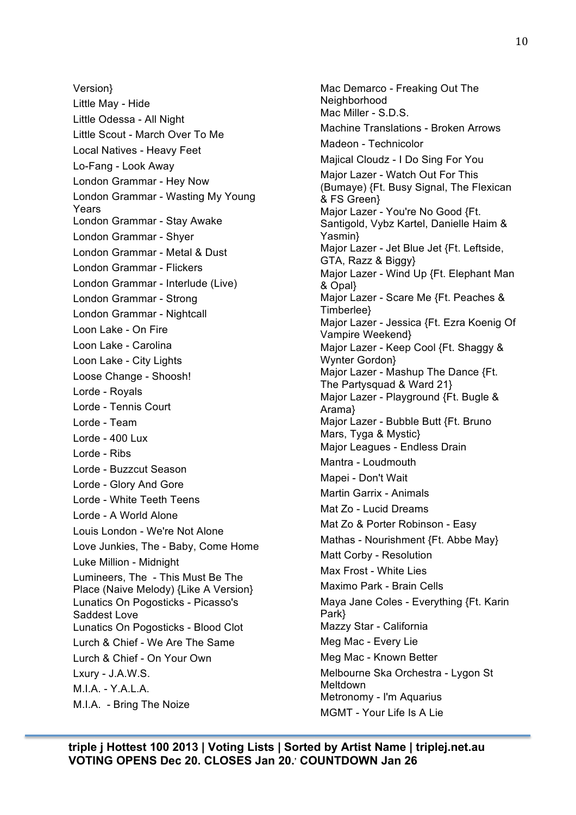Version} Little May - Hide Little Odessa - All Night Little Scout - March Over To Me Local Natives - Heavy Feet Lo-Fang - Look Away London Grammar - Hey Now London Grammar - Wasting My Young Years London Grammar - Stay Awake London Grammar - Shyer London Grammar - Metal & Dust London Grammar - Flickers London Grammar - Interlude (Live) London Grammar - Strong London Grammar - Nightcall Loon Lake - On Fire Loon Lake - Carolina Loon Lake - City Lights Loose Change - Shoosh! Lorde - Royals Lorde - Tennis Court Lorde - Team Lorde - 400 Lux Lorde - Ribs Lorde - Buzzcut Season Lorde - Glory And Gore Lorde - White Teeth Teens Lorde - A World Alone Louis London - We're Not Alone Love Junkies, The - Baby, Come Home Luke Million - Midnight Lumineers, The - This Must Be The Place (Naive Melody) {Like A Version} Lunatics On Pogosticks - Picasso's Saddest Love Lunatics On Pogosticks - Blood Clot Lurch & Chief - We Are The Same Lurch & Chief - On Your Own Lxury - J.A.W.S. M.I.A. - Y.A.L.A. M.I.A. - Bring The Noize

Mac Demarco - Freaking Out The Neighborhood Mac Miller - S.D.S. Machine Translations - Broken Arrows Madeon - Technicolor Majical Cloudz - I Do Sing For You Major Lazer - Watch Out For This (Bumaye) {Ft. Busy Signal, The Flexican & FS Green} Major Lazer - You're No Good {Ft. Santigold, Vybz Kartel, Danielle Haim & Yasmin} Major Lazer - Jet Blue Jet {Ft. Leftside, GTA, Razz & Biggy} Major Lazer - Wind Up {Ft. Elephant Man & Opal} Major Lazer - Scare Me {Ft. Peaches & Timberlee} Major Lazer - Jessica {Ft. Ezra Koenig Of Vampire Weekend} Major Lazer - Keep Cool {Ft. Shaggy & Wynter Gordon} Major Lazer - Mashup The Dance {Ft. The Partysquad & Ward 21} Major Lazer - Playground {Ft. Bugle & Arama} Major Lazer - Bubble Butt {Ft. Bruno Mars, Tyga & Mystic} Major Leagues - Endless Drain Mantra - Loudmouth Mapei - Don't Wait Martin Garrix - Animals Mat Zo - Lucid Dreams Mat Zo & Porter Robinson - Easy Mathas - Nourishment {Ft. Abbe May} Matt Corby - Resolution Max Frost - White Lies Maximo Park - Brain Cells Maya Jane Coles - Everything {Ft. Karin Park} Mazzy Star - California Meg Mac - Every Lie Meg Mac - Known Better Melbourne Ska Orchestra - Lygon St Meltdown Metronomy - I'm Aquarius MGMT - Your Life Is A Lie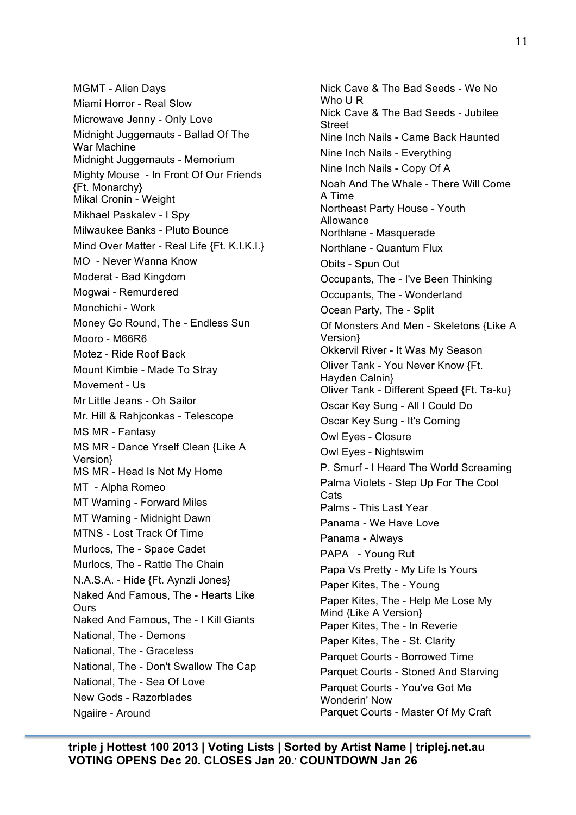MGMT - Alien Days Miami Horror - Real Slow Microwave Jenny - Only Love Midnight Juggernauts - Ballad Of The War Machine Midnight Juggernauts - Memorium Mighty Mouse - In Front Of Our Friends {Ft. Monarchy} Mikal Cronin - Weight Mikhael Paskalev - I Spy Milwaukee Banks - Pluto Bounce Mind Over Matter - Real Life {Ft. K.I.K.I.} MO - Never Wanna Know Moderat - Bad Kingdom Mogwai - Remurdered Monchichi - Work Money Go Round, The - Endless Sun Mooro - M66R6 Motez - Ride Roof Back Mount Kimbie - Made To Stray Movement - Us Mr Little Jeans - Oh Sailor Mr. Hill & Rahjconkas - Telescope MS MR - Fantasy MS MR - Dance Yrself Clean {Like A Version} MS MR - Head Is Not My Home MT - Alpha Romeo MT Warning - Forward Miles MT Warning - Midnight Dawn MTNS - Lost Track Of Time Murlocs, The - Space Cadet Murlocs, The - Rattle The Chain N.A.S.A. - Hide {Ft. Aynzli Jones} Naked And Famous, The - Hearts Like **Ours** Naked And Famous, The - I Kill Giants National, The - Demons National, The - Graceless National, The - Don't Swallow The Cap National, The - Sea Of Love New Gods - Razorblades Ngaiire - Around

Nick Cave & The Bad Seeds - We No Who U R Nick Cave & The Bad Seeds - Jubilee Street Nine Inch Nails - Came Back Haunted Nine Inch Nails - Everything Nine Inch Nails - Copy Of A Noah And The Whale - There Will Come A Time Northeast Party House - Youth Allowance Northlane - Masquerade Northlane - Quantum Flux Obits - Spun Out Occupants, The - I've Been Thinking Occupants, The - Wonderland Ocean Party, The - Split Of Monsters And Men - Skeletons {Like A Version} Okkervil River - It Was My Season Oliver Tank - You Never Know {Ft. Hayden Calnin} Oliver Tank - Different Speed {Ft. Ta-ku} Oscar Key Sung - All I Could Do Oscar Key Sung - It's Coming Owl Eyes - Closure Owl Eyes - Nightswim P. Smurf - I Heard The World Screaming Palma Violets - Step Up For The Cool Cats Palms - This Last Year Panama - We Have Love Panama - Always PAPA - Young Rut Papa Vs Pretty - My Life Is Yours Paper Kites, The - Young Paper Kites, The - Help Me Lose My Mind {Like A Version} Paper Kites, The - In Reverie Paper Kites, The - St. Clarity Parquet Courts - Borrowed Time Parquet Courts - Stoned And Starving Parquet Courts - You've Got Me Wonderin' Now Parquet Courts - Master Of My Craft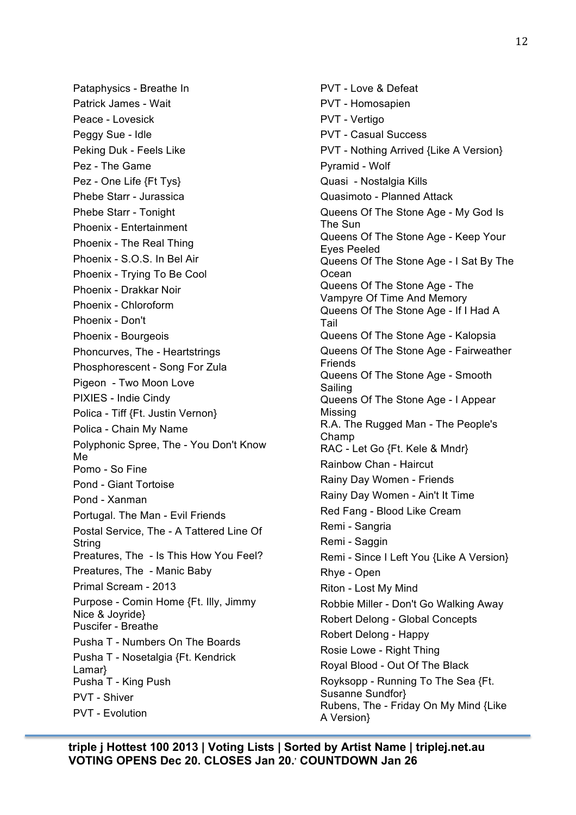Pataphysics - Breathe In Patrick James - Wait Peace - Lovesick Peggy Sue - Idle Peking Duk - Feels Like Pez - The Game Pez - One Life {Ft Tys} Phebe Starr - Jurassica Phebe Starr - Tonight Phoenix - Entertainment Phoenix - The Real Thing Phoenix - S.O.S. In Bel Air Phoenix - Trying To Be Cool Phoenix - Drakkar Noir Phoenix - Chloroform Phoenix - Don't Phoenix - Bourgeois Phoncurves, The - Heartstrings Phosphorescent - Song For Zula Pigeon - Two Moon Love PIXIES - Indie Cindy Polica - Tiff {Ft. Justin Vernon} Polica - Chain My Name Polyphonic Spree, The - You Don't Know Me Pomo - So Fine Pond - Giant Tortoise Pond - Xanman Portugal. The Man - Evil Friends Postal Service, The - A Tattered Line Of String Preatures, The - Is This How You Feel? Preatures, The - Manic Baby Primal Scream - 2013 Purpose - Comin Home {Ft. Illy, Jimmy Nice & Joyride} Puscifer - Breathe Pusha T - Numbers On The Boards Pusha T - Nosetalgia {Ft. Kendrick Lamar} Pusha T - King Push PVT - Shiver PVT - Evolution

PVT - Love & Defeat PVT - Homosapien PVT - Vertigo PVT - Casual Success PVT - Nothing Arrived {Like A Version} Pyramid - Wolf Quasi - Nostalgia Kills Quasimoto - Planned Attack Queens Of The Stone Age - My God Is The Sun Queens Of The Stone Age - Keep Your Eyes Peeled Queens Of The Stone Age - I Sat By The **Ocean** Queens Of The Stone Age - The Vampyre Of Time And Memory Queens Of The Stone Age - If I Had A Tail Queens Of The Stone Age - Kalopsia Queens Of The Stone Age - Fairweather Friends Queens Of The Stone Age - Smooth Sailing Queens Of The Stone Age - I Appear Missing R.A. The Rugged Man - The People's Champ RAC - Let Go {Ft. Kele & Mndr} Rainbow Chan - Haircut Rainy Day Women - Friends Rainy Day Women - Ain't It Time Red Fang - Blood Like Cream Remi - Sangria Remi - Saggin Remi - Since I Left You {Like A Version} Rhye - Open Riton - Lost My Mind Robbie Miller - Don't Go Walking Away Robert Delong - Global Concepts Robert Delong - Happy Rosie Lowe - Right Thing Royal Blood - Out Of The Black Royksopp - Running To The Sea {Ft. Susanne Sundfor} Rubens, The - Friday On My Mind {Like A Version}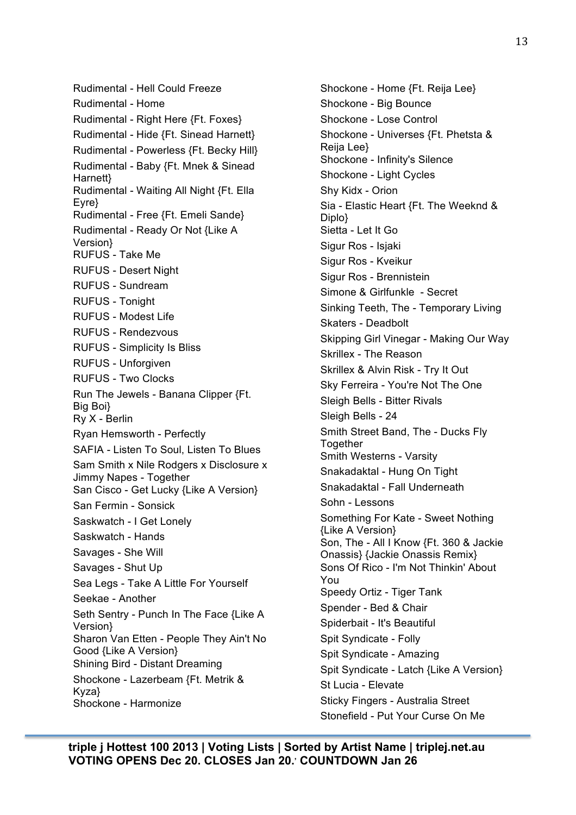Rudimental - Hell Could Freeze Rudimental - Home Rudimental - Right Here {Ft. Foxes} Rudimental - Hide {Ft. Sinead Harnett} Rudimental - Powerless {Ft. Becky Hill} Rudimental - Baby {Ft. Mnek & Sinead Harnett} Rudimental - Waiting All Night {Ft. Ella Eyre} Rudimental - Free {Ft. Emeli Sande} Rudimental - Ready Or Not {Like A Version} RUFUS - Take Me RUFUS - Desert Night RUFUS - Sundream RUFUS - Tonight RUFUS - Modest Life RUFUS - Rendezvous RUFUS - Simplicity Is Bliss RUFUS - Unforgiven RUFUS - Two Clocks Run The Jewels - Banana Clipper {Ft. Big Boi} Ry X - Berlin Ryan Hemsworth - Perfectly SAFIA - Listen To Soul, Listen To Blues Sam Smith x Nile Rodgers x Disclosure x Jimmy Napes - Together San Cisco - Get Lucky {Like A Version} San Fermin - Sonsick Saskwatch - I Get Lonely Saskwatch - Hands Savages - She Will Savages - Shut Up Sea Legs - Take A Little For Yourself Seekae - Another Seth Sentry - Punch In The Face {Like A Version} Sharon Van Etten - People They Ain't No Good {Like A Version} Shining Bird - Distant Dreaming Shockone - Lazerbeam {Ft. Metrik & Kyza} Shockone - Harmonize

Shockone - Home {Ft. Reija Lee} Shockone - Big Bounce Shockone - Lose Control Shockone - Universes {Ft. Phetsta & Reija Lee} Shockone - Infinity's Silence Shockone - Light Cycles Shy Kidx - Orion Sia - Elastic Heart {Ft. The Weeknd & Diplo} Sietta - Let It Go Sigur Ros - Isjaki Sigur Ros - Kveikur Sigur Ros - Brennistein Simone & Girlfunkle - Secret Sinking Teeth, The - Temporary Living Skaters - Deadbolt Skipping Girl Vinegar - Making Our Way Skrillex - The Reason Skrillex & Alvin Risk - Try It Out Sky Ferreira - You're Not The One Sleigh Bells - Bitter Rivals Sleigh Bells - 24 Smith Street Band, The - Ducks Fly Together Smith Westerns - Varsity Snakadaktal - Hung On Tight Snakadaktal - Fall Underneath Sohn - Lessons Something For Kate - Sweet Nothing {Like A Version} Son, The - All I Know {Ft. 360 & Jackie Onassis} {Jackie Onassis Remix} Sons Of Rico - I'm Not Thinkin' About You Speedy Ortiz - Tiger Tank Spender - Bed & Chair Spiderbait - It's Beautiful Spit Syndicate - Folly Spit Syndicate - Amazing Spit Syndicate - Latch {Like A Version} St Lucia - Elevate Sticky Fingers - Australia Street Stonefield - Put Your Curse On Me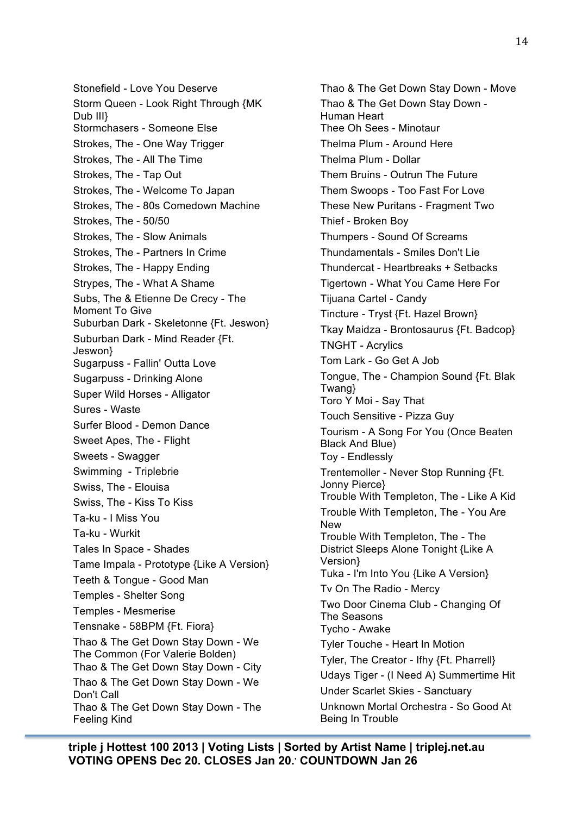Stonefield - Love You Deserve Storm Queen - Look Right Through {MK Dub III} Stormchasers - Someone Else Strokes, The - One Way Trigger Strokes, The - All The Time Strokes, The - Tap Out Strokes, The - Welcome To Japan Strokes, The - 80s Comedown Machine Strokes, The - 50/50 Strokes, The - Slow Animals Strokes, The - Partners In Crime Strokes, The - Happy Ending Strypes, The - What A Shame Subs, The & Etienne De Crecy - The Moment To Give Suburban Dark - Skeletonne {Ft. Jeswon} Suburban Dark - Mind Reader {Ft. Jeswon} Sugarpuss - Fallin' Outta Love Sugarpuss - Drinking Alone Super Wild Horses - Alligator Sures - Waste Surfer Blood - Demon Dance Sweet Apes, The - Flight Sweets - Swagger Swimming - Triplebrie Swiss, The - Elouisa Swiss, The - Kiss To Kiss Ta-ku - I Miss You Ta-ku - Wurkit Tales In Space - Shades Tame Impala - Prototype {Like A Version} Teeth & Tongue - Good Man Temples - Shelter Song Temples - Mesmerise Tensnake - 58BPM {Ft. Fiora} Thao & The Get Down Stay Down - We The Common (For Valerie Bolden) Thao & The Get Down Stay Down - City Thao & The Get Down Stay Down - We Don't Call Thao & The Get Down Stay Down - The Feeling Kind

Thao & The Get Down Stay Down - Move Thao & The Get Down Stay Down - Human Heart Thee Oh Sees - Minotaur Thelma Plum - Around Here Thelma Plum - Dollar Them Bruins - Outrun The Future Them Swoops - Too Fast For Love These New Puritans - Fragment Two Thief - Broken Boy Thumpers - Sound Of Screams Thundamentals - Smiles Don't Lie Thundercat - Heartbreaks + Setbacks Tigertown - What You Came Here For Tijuana Cartel - Candy Tincture - Tryst {Ft. Hazel Brown} Tkay Maidza - Brontosaurus {Ft. Badcop} TNGHT - Acrylics Tom Lark - Go Get A Job Tongue, The - Champion Sound {Ft. Blak Twang} Toro Y Moi - Say That Touch Sensitive - Pizza Guy Tourism - A Song For You (Once Beaten Black And Blue) Toy - Endlessly Trentemoller - Never Stop Running {Ft. Jonny Pierce} Trouble With Templeton, The - Like A Kid Trouble With Templeton, The - You Are New Trouble With Templeton, The - The District Sleeps Alone Tonight {Like A Version} Tuka - I'm Into You {Like A Version} Tv On The Radio - Mercy Two Door Cinema Club - Changing Of The Seasons Tycho - Awake Tyler Touche - Heart In Motion Tyler, The Creator - Ifhy {Ft. Pharrell} Udays Tiger - (I Need A) Summertime Hit Under Scarlet Skies - Sanctuary Unknown Mortal Orchestra - So Good At Being In Trouble